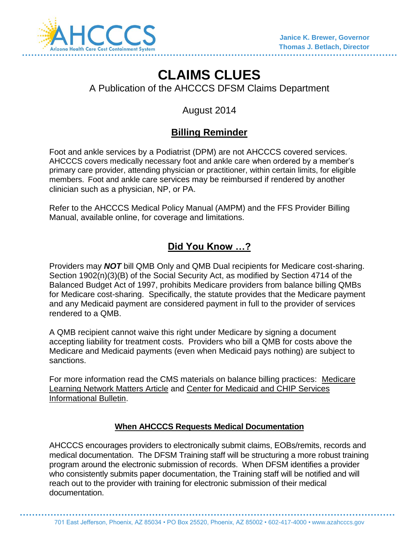

# **CLAIMS CLUES**

A Publication of the AHCCCS DFSM Claims Department

August 2014

## **Billing Reminder**

Foot and ankle services by a Podiatrist (DPM) are not AHCCCS covered services. AHCCCS covers medically necessary foot and ankle care when ordered by a member's primary care provider, attending physician or practitioner, within certain limits, for eligible members. Foot and ankle care services may be reimbursed if rendered by another clinician such as a physician, NP, or PA.

Refer to the AHCCCS Medical Policy Manual (AMPM) and the FFS Provider Billing Manual, available online, for coverage and limitations.

## **Did You Know …?**

Providers may *NOT* bill QMB Only and QMB Dual recipients for Medicare cost-sharing. Section 1902(n)(3)(B) of the Social Security Act, as modified by Section 4714 of the Balanced Budget Act of 1997, prohibits Medicare providers from balance billing QMBs for Medicare cost-sharing. Specifically, the statute provides that the Medicare payment and any Medicaid payment are considered payment in full to the provider of services rendered to a QMB.

A QMB recipient cannot waive this right under Medicare by signing a document accepting liability for treatment costs. Providers who bill a QMB for costs above the Medicare and Medicaid payments (even when Medicaid pays nothing) are subject to sanctions.

For more information read the CMS materials on balance billing practices: Medicare Learning Network Matters Article and Center for Medicaid and CHIP Services Informational Bulletin.

#### **When AHCCCS Requests Medical Documentation**

AHCCCS encourages providers to electronically submit claims, EOBs/remits, records and medical documentation. The DFSM Training staff will be structuring a more robust training program around the electronic submission of records. When DFSM identifies a provider who consistently submits paper documentation, the Training staff will be notified and will reach out to the provider with training for electronic submission of their medical documentation.